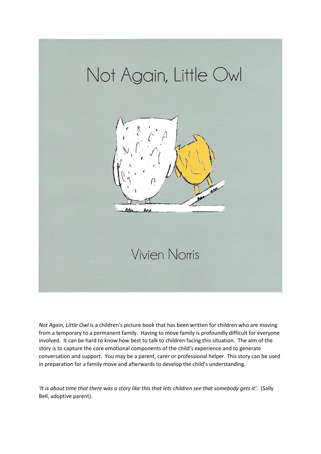

*Not Again, Little Owl* is a children's picture book that has been written for children who are moving from a temporary to a permanent family. Having to move family is profoundly difficult for everyone involved. It can be hard to know how best to talk to children facing this situation. The aim of the story is to capture the core emotional components of the child's experience and to generate conversation and support. You may be a parent, carer or professional helper. This story can be used in preparation for a family move and afterwards to develop the child's understanding.

*'It is about time that there was a story like this that lets children see that somebody gets it'.* (Sally Bell, adoptive parent).